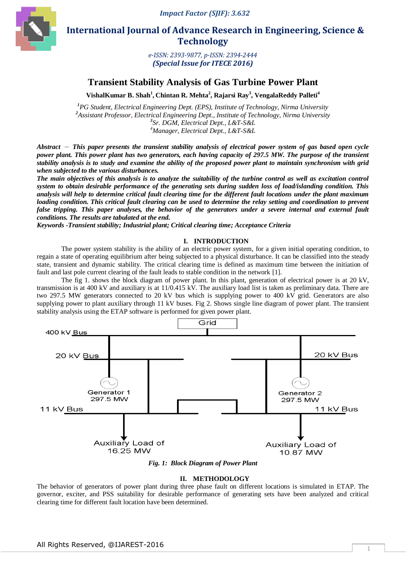

 **International Journal of Advance Research in Engineering, Science & Technology** 

> *e-ISSN: 2393-9877, p-ISSN: 2394-2444 (Special Issue for ITECE 2016)*

# **Transient Stability Analysis of Gas Turbine Power Plant**

**VishalKumar B. Shah<sup>1</sup> , Chintan R. Mehta<sup>2</sup> , Rajarsi Ray<sup>3</sup> , VengalaReddy Palleti<sup>4</sup>**

*PG Student, Electrical Engineering Dept. (EPS), Institute of Technology, Nirma University Assistant Professor, Electrical Engineering Dept., Institute of Technology, Nirma University Sr. DGM, Electrical Dept., L&T-S&L Manager, Electrical Dept., L&T-S&L*

*Abstract* — *This paper presents the transient stability analysis of electrical power system of gas based open cycle power plant. This power plant has two generators, each having capacity of 297.5 MW. The purpose of the transient stability analysis is to study and examine the ability of the proposed power plant to maintain synchronism with grid when subjected to the various disturbances.*

*The main objectives of this analysis is to analyze the suitability of the turbine control as well as excitation control system to obtain desirable performance of the generating sets during sudden loss of load/islanding condition. This analysis will help to determine critical fault clearing time for the different fault locations under the plant maximum*  loading condition. This critical fault clearing can be used to determine the relay setting and coordination to prevent false tripping. This paper analyses, the behavior of the generators under a severe internal and external fault *conditions. The results are tabulated at the end.*

*Keywords -Transient stability; Industrial plant; Critical clearing time; Acceptance Criteria*

### **I. INTRODUCTION**

The power system stability is the ability of an electric power system, for a given initial operating condition, to regain a state of operating equilibrium after being subjected to a physical disturbance. It can be classified into the steady state, transient and dynamic stability. The critical clearing time is defined as maximum time between the initiation of fault and last pole current clearing of the fault leads to stable condition in the network [1].

The fig 1. shows the block diagram of power plant. In this plant, generation of electrical power is at 20 kV, transmission is at 400 kV and auxiliary is at 11/0.415 kV. The auxiliary load list is taken as preliminary data. There are two 297.5 MW generators connected to 20 kV bus which is supplying power to 400 kV grid. Generators are also supplying power to plant auxiliary through 11 kV buses. Fig 2. Shows single line diagram of power plant. The transient stability analysis using the ETAP software is performed for given power plant.



*Fig. 1: Block Diagram of Power Plant*

#### **II. METHODOLOGY**

The behavior of generators of power plant during three phase fault on different locations is simulated in ETAP. The governor, exciter, and PSS suitability for desirable performance of generating sets have been analyzed and critical clearing time for different fault location have been determined.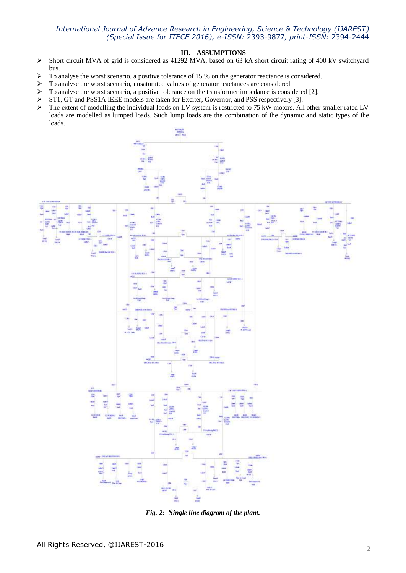### **III. ASSUMPTIONS**

- $\triangleright$  Short circuit MVA of grid is considered as 41292 MVA, based on 63 kA short circuit rating of 400 kV switchyard bus.
- $\triangleright$  To analyse the worst scenario, a positive tolerance of 15 % on the generator reactance is considered.
- > To analyse the worst scenario, unsaturated values of generator reactances are considered.
- $\triangleright$  To analyse the worst scenario, a positive tolerance on the transformer impedance is considered [2].
- ST1, GT and PSS1A IEEE models are taken for Exciter, Governor, and PSS respectively [3].
- The extent of modelling the individual loads on LV system is restricted to 75 kW motors. All other smaller rated LV loads are modelled as lumped loads. Such lump loads are the combination of the dynamic and static types of the loads.



*Fig. 2: Single line diagram of the plant.*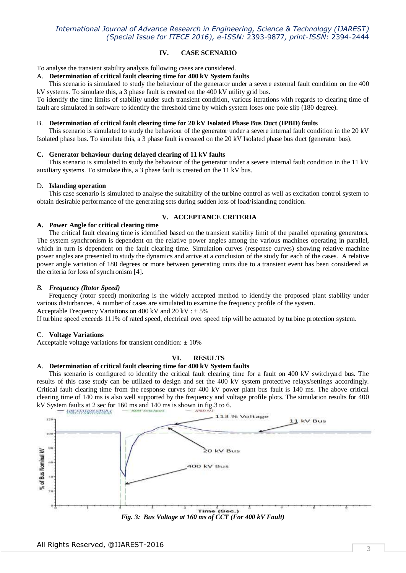### **IV. CASE SCENARIO**

To analyse the transient stability analysis following cases are considered.

#### A. **Determination of critical fault clearing time for 400 kV System faults**

This scenario is simulated to study the behaviour of the generator under a severe external fault condition on the 400 kV systems. To simulate this, a 3 phase fault is created on the 400 kV utility grid bus.

To identify the time limits of stability under such transient condition, various iterations with regards to clearing time of fault are simulated in software to identify the threshold time by which system loses one pole slip (180 degree).

### B. **Determination of critical fault clearing time for 20 kV Isolated Phase Bus Duct (IPBD) faults**

This scenario is simulated to study the behaviour of the generator under a severe internal fault condition in the 20 kV Isolated phase bus. To simulate this, a 3 phase fault is created on the 20 kV Isolated phase bus duct (generator bus).

### **C. Generator behaviour during delayed clearing of 11 kV faults**

 This scenario is simulated to study the behaviour of the generator under a severe internal fault condition in the 11 kV auxiliary systems. To simulate this, a 3 phase fault is created on the 11 kV bus*.*

#### D. **Islanding operation**

This case scenario is simulated to analyse the suitability of the turbine control as well as excitation control system to obtain desirable performance of the generating sets during sudden loss of load/islanding condition.

### **V. ACCEPTANCE CRITERIA**

### **A. Power Angle for critical clearing time**

 The critical fault clearing time is identified based on the transient stability limit of the parallel operating generators. The system synchronism is dependent on the relative power angles among the various machines operating in parallel, which in turn is dependent on the fault clearing time. Simulation curves (response curves) showing relative machine power angles are presented to study the dynamics and arrive at a conclusion of the study for each of the cases. A relative power angle variation of 180 degrees or more between generating units due to a transient event has been considered as the criteria for loss of synchronism [4].

#### *B. Frequency (Rotor Speed)*

 Frequency (rotor speed) monitoring is the widely accepted method to identify the proposed plant stability under various disturbances. A number of cases are simulated to examine the frequency profile of the system. Acceptable Frequency Variations on 400 kV and  $20 \text{ kV} : \pm 5\%$ 

If turbine speed exceeds 111% of rated speed, electrical over speed trip will be actuated by turbine protection system.

### C. **Voltage Variations**

Acceptable voltage variations for transient condition:  $\pm 10\%$ 

# **VI. RESULTS**

### A. **Determination of critical fault clearing time for 400 kV System faults**

 This scenario is configured to identify the critical fault clearing time for a fault on 400 kV switchyard bus. The results of this case study can be utilized to design and set the 400 kV system protective relays/settings accordingly. Critical fault clearing time from the response curves for 400 kV power plant bus fault is 140 ms. The above critical clearing time of 140 ms is also well supported by the frequency and voltage profile plots. The simulation results for 400 kV System faults at 2 sec for 160 ms and 140 ms is shown in fig.3 to 6.



*Fig. 3: Bus Voltage at 160 ms of CCT (For 400 kV Fault)*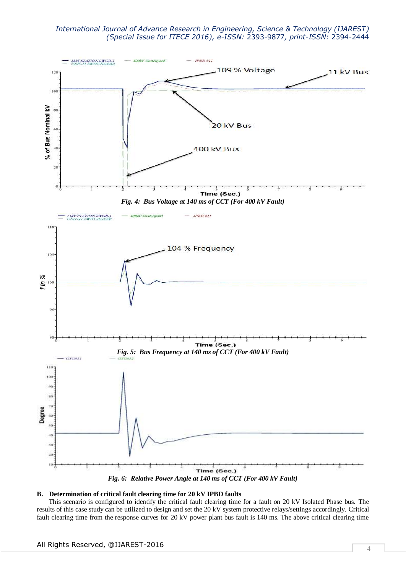

### **B. Determination of critical fault clearing time for 20 kV IPBD faults**

 This scenario is configured to identify the critical fault clearing time for a fault on 20 kV Isolated Phase bus. The results of this case study can be utilized to design and set the 20 kV system protective relays/settings accordingly. Critical fault clearing time from the response curves for 20 kV power plant bus fault is 140 ms. The above critical clearing time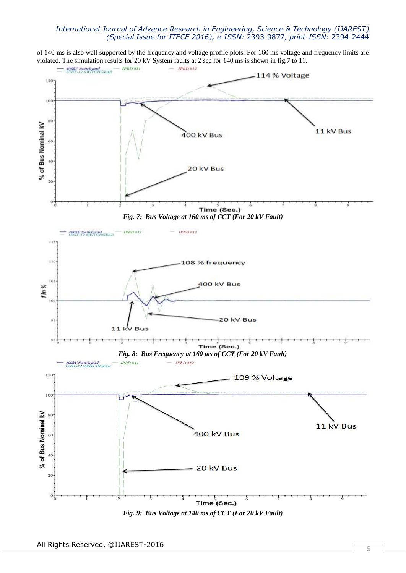of 140 ms is also well supported by the frequency and voltage profile plots. For 160 ms voltage and frequency limits are violated. The simulation results for 20 kV System faults at 2 sec for 140 ms is shown in fig.7 to 11.



*Fig. 9: Bus Voltage at 140 ms of CCT (For 20 kV Fault)*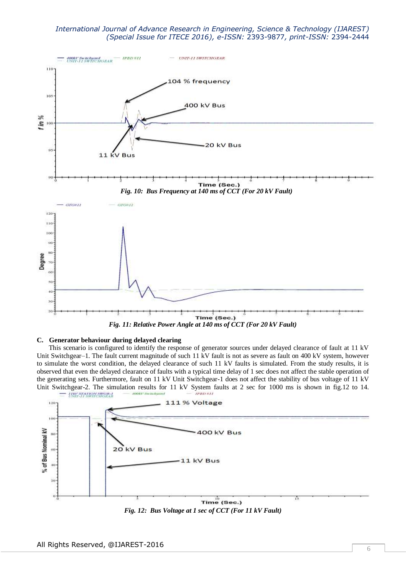

# **C. Generator behaviour during delayed clearing**

This scenario is configured to identify the response of generator sources under delayed clearance of fault at 11 kV Unit Switchgear–1. The fault current magnitude of such 11 kV fault is not as severe as fault on 400 kV system, however to simulate the worst condition, the delayed clearance of such 11 kV faults is simulated. From the study results, it is observed that even the delayed clearance of faults with a typical time delay of 1 sec does not affect the stable operation of the generating sets. Furthermore, fault on 11 kV Unit Switchgear-1 does not affect the stability of bus voltage of 11 kV Unit Switchgear-2. The simulation results for 11 kV System faults at 2 sec for 1000 ms is shown in fig.12 to 14.



*Fig. 12: Bus Voltage at 1 sec of CCT (For 11 kV Fault)*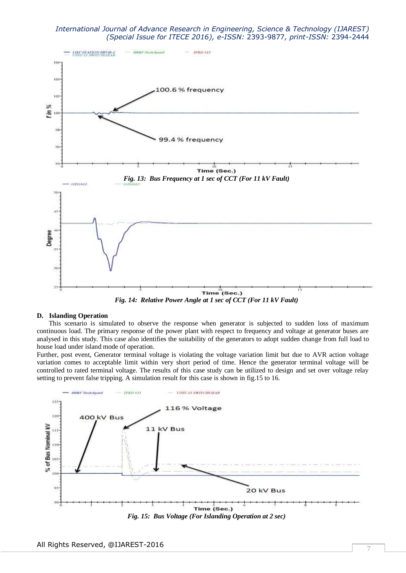

*Fig. 14: Relative Power Angle at 1 sec of CCT (For 11 kV Fault)*

### **D. Islanding Operation**

This scenario is simulated to observe the response when generator is subjected to sudden loss of maximum continuous load. The primary response of the power plant with respect to frequency and voltage at generator buses are analysed in this study. This case also identifies the suitability of the generators to adopt sudden change from full load to house load under island mode of operation.

Further, post event, Generator terminal voltage is violating the voltage variation limit but due to AVR action voltage variation comes to acceptable limit within very short period of time. Hence the generator terminal voltage will be controlled to rated terminal voltage. The results of this case study can be utilized to design and set over voltage relay setting to prevent false tripping. A simulation result for this case is shown in fig.15 to 16.